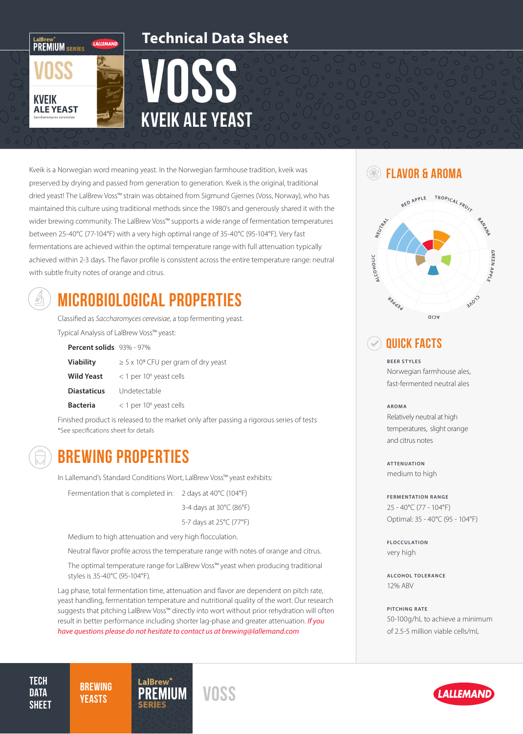

### **Technical Data Sheet**

# VOSS kveik ale yeast

Kveik is a Norwegian word meaning yeast. In the Norwegian farmhouse tradition, kveik was preserved by drying and passed from generation to generation. Kveik is the original, traditional dried yeast! The LalBrew Voss™ strain was obtained from Sigmund Gjernes (Voss, Norway), who has maintained this culture using traditional methods since the 1980's and generously shared it with the wider brewing community. The LalBrew Voss™ supports a wide range of fermentation temperatures between 25-40°C (77-104°F) with a very high optimal range of 35-40°C (95-104°F). Very fast fermentations are achieved within the optimal temperature range with full attenuation typically achieved within 2-3 days. The flavor profile is consistent across the entire temperature range: neutral with subtle fruity notes of orange and citrus.



# MICROBIOLOGICAL PROPERTIES

Classified as *Saccharomyces cerevisiae*, a top fermenting yeast.

Typical Analysis of LalBrew Voss™ yeast:

**Percent solids** 93% - 97%

| <b>Viability</b>   | $\geq$ 5 x 10° CFU per gram of dry yeast |
|--------------------|------------------------------------------|
| <b>Wild Yeast</b>  | $<$ 1 per 10 <sup>6</sup> yeast cells    |
| <b>Diastaticus</b> | Undetectable                             |
| <b>Bacteria</b>    | $<$ 1 per 10 <sup>6</sup> yeast cells    |

Finished product is released to the market only after passing a rigorous series of tests \*See specifications sheet for details



**TECH DATA SHEET** 

**BREWING** 

### BREWING PROPERTIES

In Lallemand's Standard Conditions Wort, LalBrew Voss™ yeast exhibits:

Fermentation that is completed in: 2 days at 40°C (104°F)

3-4 days at 30°C (86°F)

5-7 days at 25°C (77°F)

Medium to high attenuation and very high flocculation.

*YEASTS* PREMIUM VOSS

Neutral flavor profile across the temperature range with notes of orange and citrus.

The optimal temperature range for LalBrew Voss™ yeast when producing traditional styles is 35-40°C (95-104°F).

Lag phase, total fermentation time, attenuation and flavor are dependent on pitch rate, yeast handling, fermentation temperature and nutritional quality of the wort. Our research suggests that pitching LalBrew Voss™ directly into wort without prior rehydration will often result in better performance including shorter lag-phase and greater attenuation. *If you have questions please do not hesitate to contact us at brewing@lallemand.com*

### **SEE FLAVOR & AROMA**



### **QUICK FACTS**

**BEER STYLES** Norwegian farmhouse ales, fast-fermented neutral ales

#### **AROMA**

Relatively neutral at high temperatures, slight orange and citrus notes

**ATTENUATION** medium to high

**FERMENTATION RANGE** 25 - 40°C (77 - 104°F) Optimal: 35 - 40°C (95 - 104°F)

**FLOCCULATION** very high

**ALCOHOL TOLERANCE** 12% ABV

**PITCHING RATE** 50-100g/hL to achieve a minimum of 2.5-5 million viable cells/mL